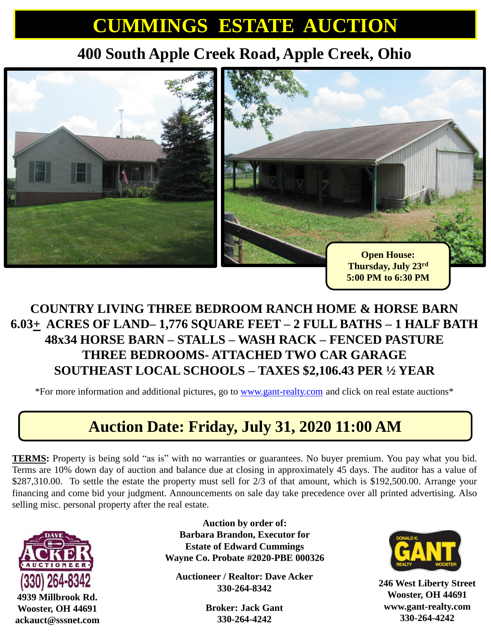# **CUMMINGS ESTATE AUCTION**

## **400 South Apple Creek Road, Apple Creek, Ohio**



#### **COUNTRY LIVING THREE BEDROOM RANCH HOME & HORSE BARN 6.03+ ACRES OF LAND– 1,776 SQUARE FEET – 2 FULL BATHS – 1 HALF BATH 48x34 HORSE BARN – STALLS – WASH RACK – FENCED PASTURE THREE BEDROOMS- ATTACHED TWO CAR GARAGE SOUTHEAST LOCAL SCHOOLS – TAXES \$2,106.43 PER ½ YEAR**

\*For more information and additional pictures, go to [www.gant-realty.com](http://www.gant-realty.com/) and click on real estate auctions\*

### **Auction Date: Friday, July 31, 2020 11:00 AM**

**TERMS:** Property is being sold "as is" with no warranties or guarantees. No buyer premium. You pay what you bid. Terms are 10% down day of auction and balance due at closing in approximately 45 days. The auditor has a value of \$287,310.00. To settle the estate the property must sell for 2/3 of that amount, which is \$192,500.00. Arrange your financing and come bid your judgment. Announcements on sale day take precedence over all printed advertising. Also selling misc. personal property after the real estate.



**4939 Millbrook Rd. Wooster, OH 44691 ackauct@sssnet.com**

**Auction by order of: Barbara Brandon, Executor for Estate of Edward Cummings Wayne Co. Probate #2020-PBE 000326** 

**Auctioneer / Realtor: Dave Acker 330-264-8342**

> **Broker: Jack Gant 330-264-4242**



**246 West Liberty Street Wooster, OH 44691 www.gant-realty.com 330-264-4242**